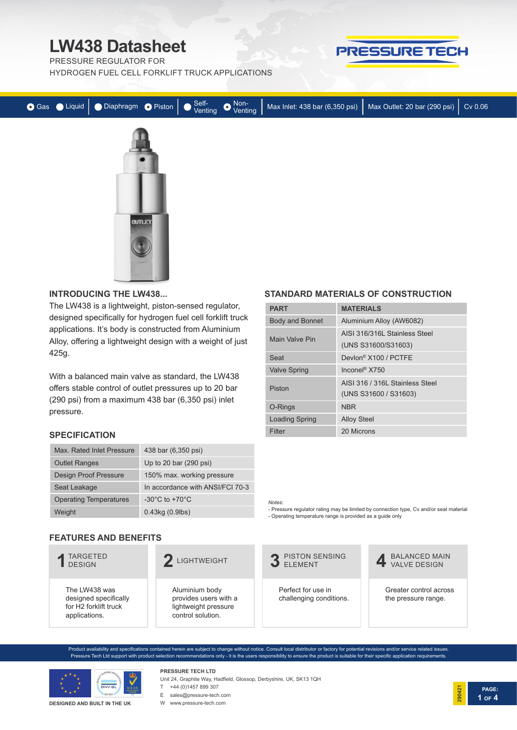PRESSURE REGULATOR FOR

HYDROGEN FUEL CELL FORKLIFT TRUCK APPLICATIONS



|  |  |  | O Gas ● Liquid DDiaphragm ● Piston ● Self-<br>Venting ● Venting Max Inlet: 438 bar (6,350 psi) Max Outlet: 20 bar (290 psi) Cv 0.06 |  |
|--|--|--|-------------------------------------------------------------------------------------------------------------------------------------|--|
|  |  |  |                                                                                                                                     |  |



#### **INTRODUCING THE LW438...**

The LW438 is a lightweight, piston-sensed regulator, designed specifically for hydrogen fuel cell forklift truck applications. It's body is constructed from Aluminium Alloy, offering a lightweight design with a weight of just 425g.

With a balanced main valve as standard, the LW438 offers stable control of outlet pressures up to 20 bar (290 psi) from a maximum 438 bar (6,350 psi) inlet pressure.

#### **SPECIFICATION**

| Max. Rated Inlet Pressure     | 438 bar (6,350 psi)                  |
|-------------------------------|--------------------------------------|
| <b>Outlet Ranges</b>          | Up to 20 bar (290 psi)               |
| <b>Design Proof Pressure</b>  | 150% max. working pressure           |
| Seat Leakage                  | In accordance with ANSI/FCI 70-3     |
| <b>Operating Temperatures</b> | -30 $^{\circ}$ C to +70 $^{\circ}$ C |
| Weight                        | $0.43$ kg $(0.9$ lbs)                |

#### **FEATURES AND BENEFITS**

| TARGETED<br><b>DESIGN</b>                                                                    | LIGHTWEIGHT                                                                          | <b>PISTON SENSING</b><br>FI FMFNT             |
|----------------------------------------------------------------------------------------------|--------------------------------------------------------------------------------------|-----------------------------------------------|
| The LW438 was<br>designed specifically<br>for H <sub>2</sub> forklift truck<br>applications. | Aluminium body<br>provides users with a<br>lightweight pressure<br>control solution. | Perfect for use in<br>challenging conditions. |

### **STANDARD MATERIALS OF CONSTRUCTION**

| <b>PART</b>            | <b>MATERIALS</b>                                         |
|------------------------|----------------------------------------------------------|
| <b>Body and Bonnet</b> | Aluminium Alloy (AW6082)                                 |
| Main Valve Pin         | AISI 316/316L Stainless Steel                            |
|                        | (UNS S31600/S31603)                                      |
| Seat                   | Devlon <sup>®</sup> X100 / PCTFE                         |
| <b>Valve Spring</b>    | Inconel <sup>®</sup> X750                                |
| Piston                 | AISI 316 / 316L Stainless Steel<br>(UNS S31600 / S31603) |
| O-Rings                | <b>NBR</b>                                               |
| <b>Loading Spring</b>  | <b>Alloy Steel</b>                                       |
| Filter                 | 20 Microns                                               |

*Notes:*

- Pressure regulator rating may be limited by connection type, Cv and/or seat material - Operating temperature range is provided as a guide only



**4** BALANCED MAIN

Greater control across the pressure range.

**PAGE:**

**1 OF 4**

**290421**

Product availability and specifications contained herein are subject to change without notice. Consult local distributor or factory for potential revisions and/or service related issues. Pressure Tech Ltd support with product selection recommendations only - it is the users responsibility to ensure the product is suitable for their specific application requirements.



**DESIGNED AND BUILT IN THE UK**

Unit 24, Graphite Way, Hadfield, Glossop, Derbyshire, UK, SK13 1QH E sales@pressure-tech.com

W www.pressure-tech.com

**PRESSURE TECH LTD** T +44 (0)1457 899 307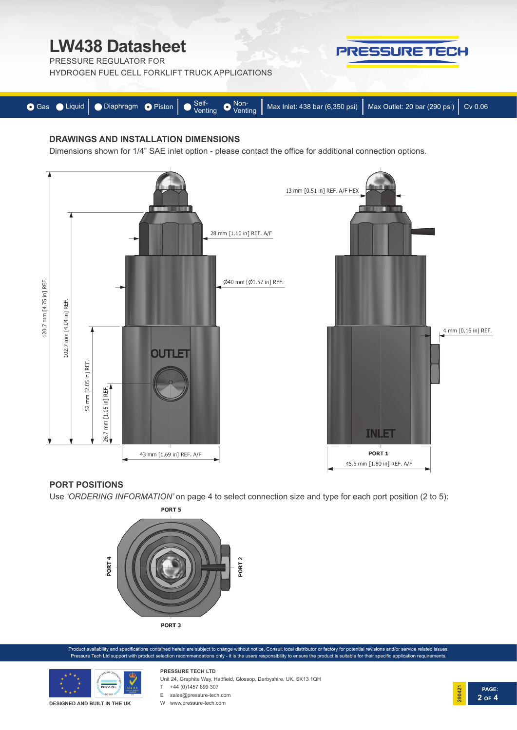PRESSURE REGULATOR FOR



HYDROGEN FUEL CELL FORKLIFT TRUCK APPLICATIONS



#### **DRAWINGS AND INSTALLATION DIMENSIONS**

Dimensions shown for 1/4" SAE inlet option - please contact the office for additional connection options.



#### **PORT POSITIONS**

Use *'ORDERING INFORMATION'* on page 4 to select connection size and type for each port position (2 to 5):



oduct availability and specifications contained herein are subject to change without notice. Consult local distributor or factory for potential revisions and/or service related issues Pressure Tech Ltd support with product selection recommendations only - it is the users responsibility to ensure the product is suitable for their specific application requirements.



**DESIGNED AND BUILT IN THE UK**

Unit 24, Graphite Way, Hadfield, Glossop, Derbyshire, UK, SK13 1QH

- **PRESSURE TECH LTD** T +44 (0)1457 899 307
- E sales@pressure-tech.com W www.pressure-tech.com



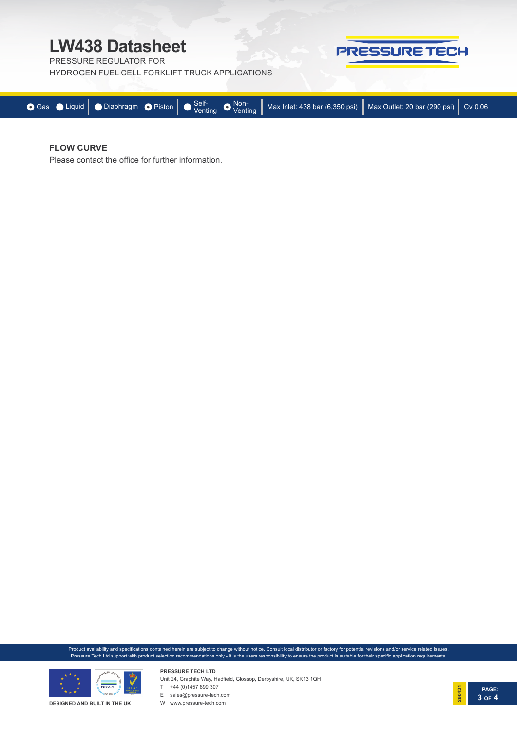PRESSURE REGULATOR FOR

HYDROGEN FUEL CELL FORKLIFT TRUCK APPLICATIONS



#### **FLOW CURVE**

Please contact the office for further information.

Product availability and specifications contained herein are subject to change without notice. Consult local distributor or factory for potential revisions and/or service related issues. Pressure Tech Ltd support with product selection recommendations only - it is the users responsibility to ensure the product is suitable for their specific application requirements.



Unit 24, Graphite Way, Hadfield, Glossop, Derbyshire, UK, SK13 1QH



W www.pressure-tech.com

**PRESSURE TECH LTD**